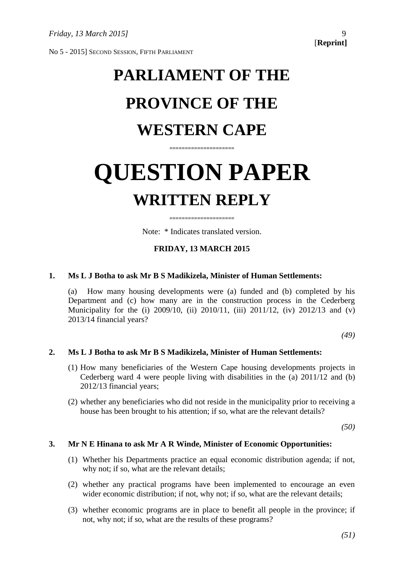No 5 - 2015] SECOND SESSION, FIFTH PARLIAMENT

# **PARLIAMENT OF THE PROVINCE OF THE WESTERN CAPE**

# **QUESTION PAPER WRITTEN REPLY**

**=====================**

Note: \* Indicates translated version.

**=====================**

# **FRIDAY, 13 MARCH 2015**

# **1. Ms L J Botha to ask Mr B S Madikizela, Minister of Human Settlements:**

(a) How many housing developments were (a) funded and (b) completed by his Department and (c) how many are in the construction process in the Cederberg Municipality for the (i) 2009/10, (ii) 2010/11, (iii) 2011/12, (iv) 2012/13 and (v) 2013/14 financial years?

*(49)*

# **2. Ms L J Botha to ask Mr B S Madikizela, Minister of Human Settlements:**

- (1) How many beneficiaries of the Western Cape housing developments projects in Cederberg ward 4 were people living with disabilities in the (a) 2011/12 and (b) 2012/13 financial years;
- (2) whether any beneficiaries who did not reside in the municipality prior to receiving a house has been brought to his attention; if so, what are the relevant details?

*(50)*

## **3. Mr N E Hinana to ask Mr A R Winde, Minister of Economic Opportunities:**

- (1) Whether his Departments practice an equal economic distribution agenda; if not, why not; if so, what are the relevant details;
- (2) whether any practical programs have been implemented to encourage an even wider economic distribution; if not, why not; if so, what are the relevant details;
- (3) whether economic programs are in place to benefit all people in the province; if not, why not; if so, what are the results of these programs?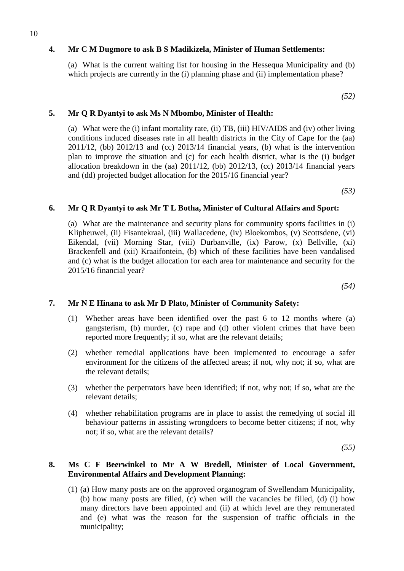# **4. Mr C M Dugmore to ask B S Madikizela, Minister of Human Settlements:**

(a) What is the current waiting list for housing in the Hessequa Municipality and (b) which projects are currently in the (i) planning phase and (ii) implementation phase?

*(52)*

# **5. Mr Q R Dyantyi to ask Ms N Mbombo, Minister of Health:**

(a) What were the (i) infant mortality rate, (ii) TB, (iii) HIV/AIDS and (iv) other living conditions induced diseases rate in all health districts in the City of Cape for the (aa) 2011/12, (bb) 2012/13 and (cc) 2013/14 financial years, (b) what is the intervention plan to improve the situation and (c) for each health district, what is the (i) budget allocation breakdown in the (aa) 2011/12, (bb) 2012/13, (cc) 2013/14 financial years and (dd) projected budget allocation for the 2015/16 financial year?

*(53)*

## **6. Mr Q R Dyantyi to ask Mr T L Botha, Minister of Cultural Affairs and Sport:**

(a) What are the maintenance and security plans for community sports facilities in (i) Klipheuwel, (ii) Fisantekraal, (iii) Wallacedene, (iv) Bloekombos, (v) Scottsdene, (vi) Eikendal, (vii) Morning Star, (viii) Durbanville, (ix) Parow, (x) Bellville, (xi) Brackenfell and (xii) Kraaifontein, (b) which of these facilities have been vandalised and (c) what is the budget allocation for each area for maintenance and security for the 2015/16 financial year?

*(54)*

# **7. Mr N E Hinana to ask Mr D Plato, Minister of Community Safety:**

- (1) Whether areas have been identified over the past 6 to 12 months where (a) gangsterism, (b) murder, (c) rape and (d) other violent crimes that have been reported more frequently; if so, what are the relevant details;
- (2) whether remedial applications have been implemented to encourage a safer environment for the citizens of the affected areas; if not, why not; if so, what are the relevant details;
- (3) whether the perpetrators have been identified; if not, why not; if so, what are the relevant details;
- (4) whether rehabilitation programs are in place to assist the remedying of social ill behaviour patterns in assisting wrongdoers to become better citizens; if not, why not; if so, what are the relevant details?

*(55)*

## **8. Ms C F Beerwinkel to Mr A W Bredell, Minister of Local Government, Environmental Affairs and Development Planning:**

(1) (a) How many posts are on the approved organogram of Swellendam Municipality, (b) how many posts are filled, (c) when will the vacancies be filled, (d) (i) how many directors have been appointed and (ii) at which level are they remunerated and (e) what was the reason for the suspension of traffic officials in the municipality;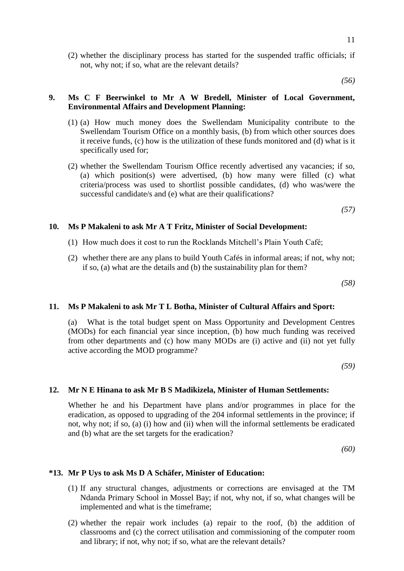(2) whether the disciplinary process has started for the suspended traffic officials; if not, why not; if so, what are the relevant details?

*(56)*

## **9. Ms C F Beerwinkel to Mr A W Bredell, Minister of Local Government, Environmental Affairs and Development Planning:**

- (1) (a) How much money does the Swellendam Municipality contribute to the Swellendam Tourism Office on a monthly basis, (b) from which other sources does it receive funds, (c) how is the utilization of these funds monitored and (d) what is it specifically used for;
- (2) whether the Swellendam Tourism Office recently advertised any vacancies; if so, (a) which position(s) were advertised, (b) how many were filled (c) what criteria/process was used to shortlist possible candidates, (d) who was/were the successful candidate/s and (e) what are their qualifications?

*(57)*

## **10. Ms P Makaleni to ask Mr A T Fritz, Minister of Social Development:**

- (1) How much does it cost to run the Rocklands Mitchell's Plain Youth Café;
- (2) whether there are any plans to build Youth Cafés in informal areas; if not, why not; if so, (a) what are the details and (b) the sustainability plan for them?

*(58)*

## **11. Ms P Makaleni to ask Mr T L Botha, Minister of Cultural Affairs and Sport:**

(a) What is the total budget spent on Mass Opportunity and Development Centres (MODs) for each financial year since inception, (b) how much funding was received from other departments and (c) how many MODs are (i) active and (ii) not yet fully active according the MOD programme?

*(59)*

#### **12. Mr N E Hinana to ask Mr B S Madikizela, Minister of Human Settlements:**

Whether he and his Department have plans and/or programmes in place for the eradication, as opposed to upgrading of the 204 informal settlements in the province; if not, why not; if so, (a) (i) how and (ii) when will the informal settlements be eradicated and (b) what are the set targets for the eradication?

*(60)*

#### **\*13. Mr P Uys to ask Ms D A Schäfer, Minister of Education:**

- (1) If any structural changes, adjustments or corrections are envisaged at the TM Ndanda Primary School in Mossel Bay; if not, why not, if so, what changes will be implemented and what is the timeframe;
- (2) whether the repair work includes (a) repair to the roof, (b) the addition of classrooms and (c) the correct utilisation and commissioning of the computer room and library; if not, why not; if so, what are the relevant details?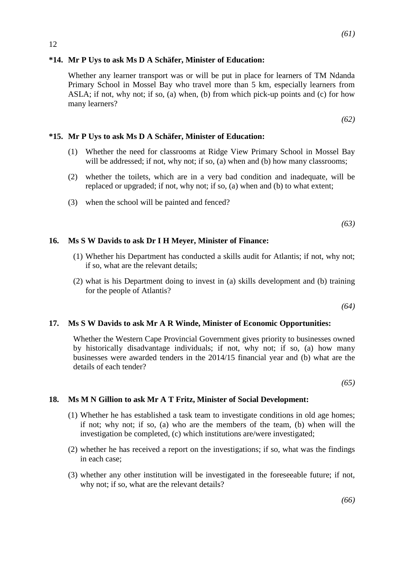# **\*14. Mr P Uys to ask Ms D A Schäfer, Minister of Education:**

Whether any learner transport was or will be put in place for learners of TM Ndanda Primary School in Mossel Bay who travel more than 5 km, especially learners from ASLA; if not, why not; if so, (a) when, (b) from which pick-up points and (c) for how many learners?

*(62)*

# **\*15. Mr P Uys to ask Ms D A Schäfer, Minister of Education:**

- (1) Whether the need for classrooms at Ridge View Primary School in Mossel Bay will be addressed; if not, why not; if so, (a) when and (b) how many classrooms;
- (2) whether the toilets, which are in a very bad condition and inadequate, will be replaced or upgraded; if not, why not; if so, (a) when and (b) to what extent;
- (3) when the school will be painted and fenced?

*(63)*

# **16. Ms S W Davids to ask Dr I H Meyer, Minister of Finance:**

- (1) Whether his Department has conducted a skills audit for Atlantis; if not, why not; if so, what are the relevant details;
- (2) what is his Department doing to invest in (a) skills development and (b) training for the people of Atlantis?

*(64)*

## **17. Ms S W Davids to ask Mr A R Winde, Minister of Economic Opportunities:**

Whether the Western Cape Provincial Government gives priority to businesses owned by historically disadvantage individuals; if not, why not; if so, (a) how many businesses were awarded tenders in the 2014/15 financial year and (b) what are the details of each tender?

*(65)*

## **18. Ms M N Gillion to ask Mr A T Fritz, Minister of Social Development:**

- (1) Whether he has established a task team to investigate conditions in old age homes; if not; why not; if so, (a) who are the members of the team, (b) when will the investigation be completed, (c) which institutions are/were investigated;
- (2) whether he has received a report on the investigations; if so, what was the findings in each case;
- (3) whether any other institution will be investigated in the foreseeable future; if not, why not; if so, what are the relevant details?

*(66)*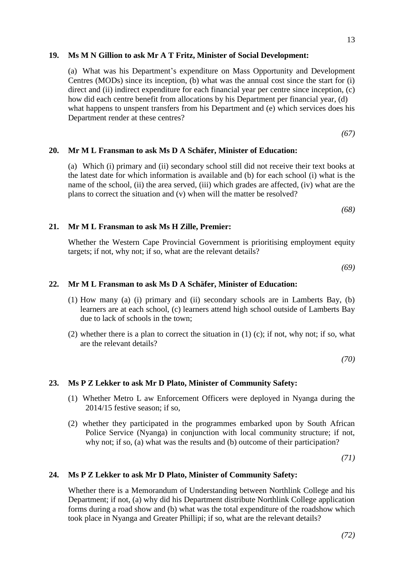# **19. Ms M N Gillion to ask Mr A T Fritz, Minister of Social Development:**

(a) What was his Department's expenditure on Mass Opportunity and Development Centres (MODs) since its inception, (b) what was the annual cost since the start for (i) direct and (ii) indirect expenditure for each financial year per centre since inception, (c) how did each centre benefit from allocations by his Department per financial year, (d) what happens to unspent transfers from his Department and (e) which services does his Department render at these centres?

*(67)*

## **20. Mr M L Fransman to ask Ms D A Schäfer, Minister of Education:**

(a) Which (i) primary and (ii) secondary school still did not receive their text books at the latest date for which information is available and (b) for each school (i) what is the name of the school, (ii) the area served, (iii) which grades are affected, (iv) what are the plans to correct the situation and (v) when will the matter be resolved?

*(68)*

## **21. Mr M L Fransman to ask Ms H Zille, Premier:**

Whether the Western Cape Provincial Government is prioritising employment equity targets; if not, why not; if so, what are the relevant details?

*(69)*

## **22. Mr M L Fransman to ask Ms D A Schäfer, Minister of Education:**

- (1) How many (a) (i) primary and (ii) secondary schools are in Lamberts Bay, (b) learners are at each school, (c) learners attend high school outside of Lamberts Bay due to lack of schools in the town;
- (2) whether there is a plan to correct the situation in (1) (c); if not, why not; if so, what are the relevant details?

*(70)*

### **23. Ms P Z Lekker to ask Mr D Plato, Minister of Community Safety:**

- (1) Whether Metro L aw Enforcement Officers were deployed in Nyanga during the 2014/15 festive season; if so,
- (2) whether they participated in the programmes embarked upon by South African Police Service (Nyanga) in conjunction with local community structure; if not, why not; if so, (a) what was the results and (b) outcome of their participation?

*(71)*

### **24. Ms P Z Lekker to ask Mr D Plato, Minister of Community Safety:**

Whether there is a Memorandum of Understanding between Northlink College and his Department; if not, (a) why did his Department distribute Northlink College application forms during a road show and (b) what was the total expenditure of the roadshow which took place in Nyanga and Greater Phillipi; if so, what are the relevant details?